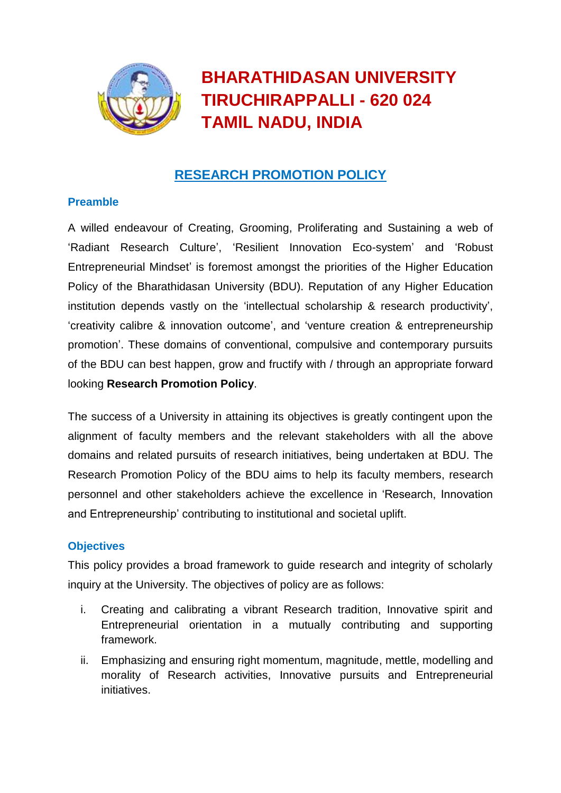

# **BHARATHIDASAN UNIVERSITY TIRUCHIRAPPALLI - 620 024 TAMlL NADU, INDIA**

## **RESEARCH PROMOTION POLICY**

## **Preamble**

A willed endeavour of Creating, Grooming, Proliferating and Sustaining a web of 'Radiant Research Culture', 'Resilient Innovation Eco-system' and 'Robust Entrepreneurial Mindset' is foremost amongst the priorities of the Higher Education Policy of the Bharathidasan University (BDU). Reputation of any Higher Education institution depends vastly on the 'intellectual scholarship & research productivity', 'creativity calibre & innovation outcome', and 'venture creation & entrepreneurship promotion'. These domains of conventional, compulsive and contemporary pursuits of the BDU can best happen, grow and fructify with / through an appropriate forward looking **Research Promotion Policy**.

The success of a University in attaining its objectives is greatly contingent upon the alignment of faculty members and the relevant stakeholders with all the above domains and related pursuits of research initiatives, being undertaken at BDU. The Research Promotion Policy of the BDU aims to help its faculty members, research personnel and other stakeholders achieve the excellence in 'Research, Innovation and Entrepreneurship' contributing to institutional and societal uplift.

## **Objectives**

This policy provides a broad framework to guide research and integrity of scholarly inquiry at the University. The objectives of policy are as follows:

- i. Creating and calibrating a vibrant Research tradition, Innovative spirit and Entrepreneurial orientation in a mutually contributing and supporting framework.
- ii. Emphasizing and ensuring right momentum, magnitude, mettle, modelling and morality of Research activities, Innovative pursuits and Entrepreneurial initiatives.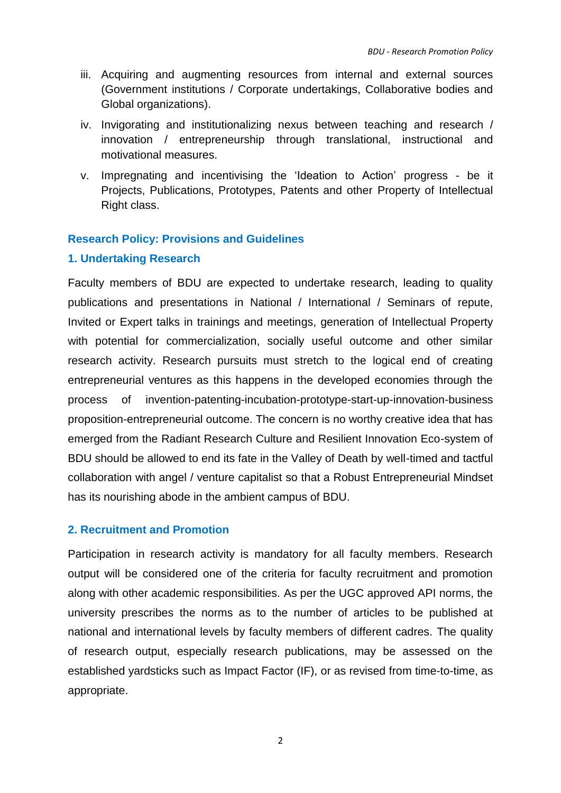- iii. Acquiring and augmenting resources from internal and external sources (Government institutions / Corporate undertakings, Collaborative bodies and Global organizations).
- iv. Invigorating and institutionalizing nexus between teaching and research / innovation / entrepreneurship through translational, instructional and motivational measures.
- v. Impregnating and incentivising the 'Ideation to Action' progress be it Projects, Publications, Prototypes, Patents and other Property of Intellectual Right class.

#### **Research Policy: Provisions and Guidelines**

#### **1. Undertaking Research**

Faculty members of BDU are expected to undertake research, leading to quality publications and presentations in National / International / Seminars of repute, Invited or Expert talks in trainings and meetings, generation of Intellectual Property with potential for commercialization, socially useful outcome and other similar research activity. Research pursuits must stretch to the logical end of creating entrepreneurial ventures as this happens in the developed economies through the process of invention-patenting-incubation-prototype-start-up-innovation-business proposition-entrepreneurial outcome. The concern is no worthy creative idea that has emerged from the Radiant Research Culture and Resilient Innovation Eco-system of BDU should be allowed to end its fate in the Valley of Death by well-timed and tactful collaboration with angel / venture capitalist so that a Robust Entrepreneurial Mindset has its nourishing abode in the ambient campus of BDU.

#### **2. Recruitment and Promotion**

Participation in research activity is mandatory for all faculty members. Research output will be considered one of the criteria for faculty recruitment and promotion along with other academic responsibilities. As per the UGC approved API norms, the university prescribes the norms as to the number of articles to be published at national and international levels by faculty members of different cadres. The quality of research output, especially research publications, may be assessed on the established yardsticks such as Impact Factor (IF), or as revised from time-to-time, as appropriate.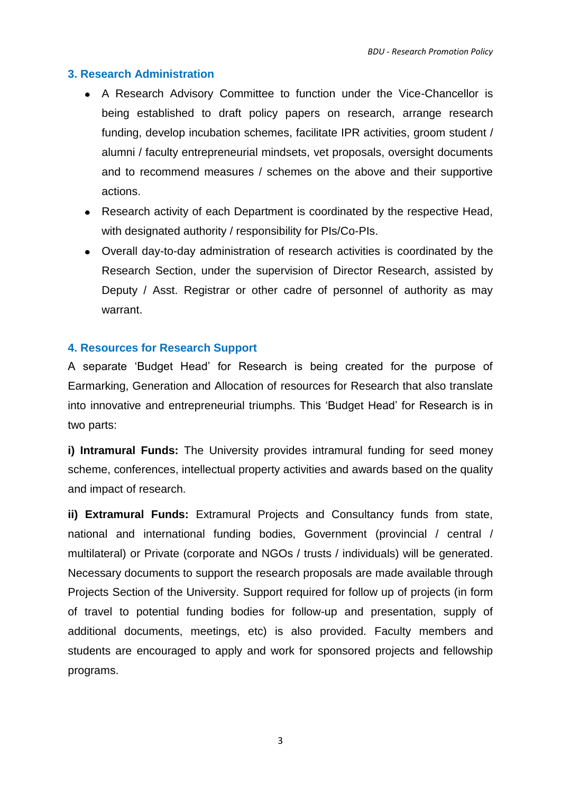#### **3. Research Administration**

- A Research Advisory Committee to function under the Vice-Chancellor is being established to draft policy papers on research, arrange research funding, develop incubation schemes, facilitate IPR activities, groom student / alumni / faculty entrepreneurial mindsets, vet proposals, oversight documents and to recommend measures / schemes on the above and their supportive actions.
- Research activity of each Department is coordinated by the respective Head, with designated authority / responsibility for PIs/Co-PIs.
- Overall day-to-day administration of research activities is coordinated by the Research Section, under the supervision of Director Research, assisted by Deputy / Asst. Registrar or other cadre of personnel of authority as may warrant.

#### **4. Resources for Research Support**

A separate 'Budget Head' for Research is being created for the purpose of Earmarking, Generation and Allocation of resources for Research that also translate into innovative and entrepreneurial triumphs. This 'Budget Head' for Research is in two parts:

**i) Intramural Funds:** The University provides intramural funding for seed money scheme, conferences, intellectual property activities and awards based on the quality and impact of research.

**ii) Extramural Funds:** Extramural Projects and Consultancy funds from state, national and international funding bodies, Government (provincial / central / multilateral) or Private (corporate and NGOs / trusts / individuals) will be generated. Necessary documents to support the research proposals are made available through Projects Section of the University. Support required for follow up of projects (in form of travel to potential funding bodies for follow-up and presentation, supply of additional documents, meetings, etc) is also provided. Faculty members and students are encouraged to apply and work for sponsored projects and fellowship programs.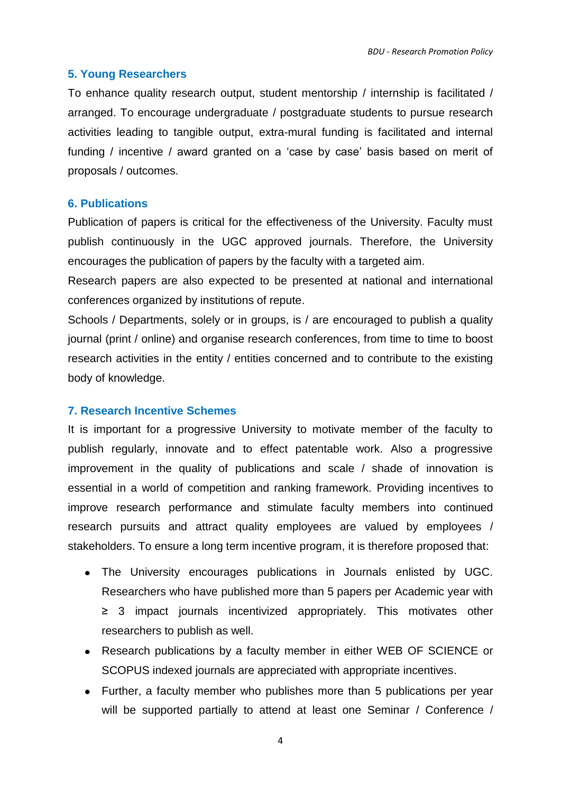#### **5. Young Researchers**

To enhance quality research output, student mentorship / internship is facilitated / arranged. To encourage undergraduate / postgraduate students to pursue research activities leading to tangible output, extra-mural funding is facilitated and internal funding / incentive / award granted on a 'case by case' basis based on merit of proposals / outcomes.

#### **6. Publications**

Publication of papers is critical for the effectiveness of the University. Faculty must publish continuously in the UGC approved journals. Therefore, the University encourages the publication of papers by the faculty with a targeted aim.

Research papers are also expected to be presented at national and international conferences organized by institutions of repute.

Schools / Departments, solely or in groups, is / are encouraged to publish a quality journal (print / online) and organise research conferences, from time to time to boost research activities in the entity / entities concerned and to contribute to the existing body of knowledge.

#### **7. Research Incentive Schemes**

It is important for a progressive University to motivate member of the faculty to publish regularly, innovate and to effect patentable work. Also a progressive improvement in the quality of publications and scale / shade of innovation is essential in a world of competition and ranking framework. Providing incentives to improve research performance and stimulate faculty members into continued research pursuits and attract quality employees are valued by employees / stakeholders. To ensure a long term incentive program, it is therefore proposed that:

- The University encourages publications in Journals enlisted by UGC. Researchers who have published more than 5 papers per Academic year with ≥ 3 impact journals incentivized appropriately. This motivates other researchers to publish as well.
- Research publications by a faculty member in either WEB OF SCIENCE or SCOPUS indexed journals are appreciated with appropriate incentives.
- Further, a faculty member who publishes more than 5 publications per year will be supported partially to attend at least one Seminar / Conference /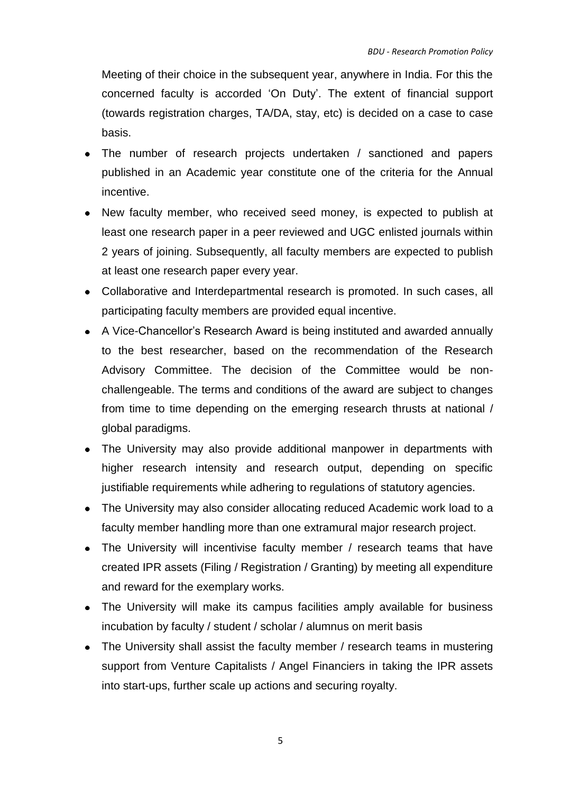Meeting of their choice in the subsequent year, anywhere in India. For this the concerned faculty is accorded 'On Duty'. The extent of financial support (towards registration charges, TA/DA, stay, etc) is decided on a case to case basis.

- The number of research projects undertaken / sanctioned and papers published in an Academic year constitute one of the criteria for the Annual incentive.
- New faculty member, who received seed money, is expected to publish at least one research paper in a peer reviewed and UGC enlisted journals within 2 years of joining. Subsequently, all faculty members are expected to publish at least one research paper every year.
- Collaborative and Interdepartmental research is promoted. In such cases, all participating faculty members are provided equal incentive.
- A Vice-Chancellor's Research Award is being instituted and awarded annually to the best researcher, based on the recommendation of the Research Advisory Committee. The decision of the Committee would be nonchallengeable. The terms and conditions of the award are subject to changes from time to time depending on the emerging research thrusts at national / global paradigms.
- The University may also provide additional manpower in departments with higher research intensity and research output, depending on specific justifiable requirements while adhering to regulations of statutory agencies.
- The University may also consider allocating reduced Academic work load to a faculty member handling more than one extramural major research project.
- The University will incentivise faculty member / research teams that have created IPR assets (Filing / Registration / Granting) by meeting all expenditure and reward for the exemplary works.
- The University will make its campus facilities amply available for business incubation by faculty / student / scholar / alumnus on merit basis
- The University shall assist the faculty member / research teams in mustering support from Venture Capitalists / Angel Financiers in taking the IPR assets into start-ups, further scale up actions and securing royalty.